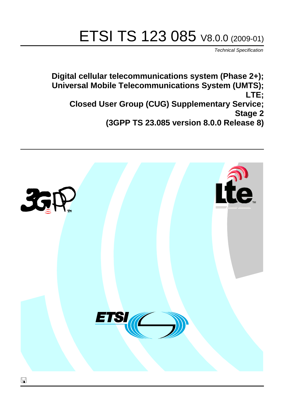# ETSI TS 123 085 V8.0.0 (2009-01)

*Technical Specification*

**Digital cellular telecommunications system (Phase 2+); Universal Mobile Telecommunications System (UMTS); LTE; Closed User Group (CUG) Supplementary Service; Stage 2 (3GPP TS 23.085 version 8.0.0 Release 8)**

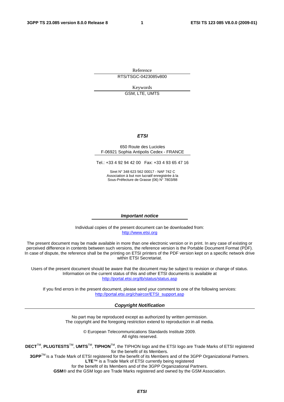Reference RTS/TSGC-0423085v800

Keywords

GSM, LTE, UMTS

#### *ETSI*

#### 650 Route des Lucioles F-06921 Sophia Antipolis Cedex - FRANCE

Tel.: +33 4 92 94 42 00 Fax: +33 4 93 65 47 16

Siret N° 348 623 562 00017 - NAF 742 C Association à but non lucratif enregistrée à la Sous-Préfecture de Grasse (06) N° 7803/88

#### *Important notice*

Individual copies of the present document can be downloaded from: [http://www.etsi.org](http://www.etsi.org/)

The present document may be made available in more than one electronic version or in print. In any case of existing or perceived difference in contents between such versions, the reference version is the Portable Document Format (PDF). In case of dispute, the reference shall be the printing on ETSI printers of the PDF version kept on a specific network drive within ETSI Secretariat.

Users of the present document should be aware that the document may be subject to revision or change of status. Information on the current status of this and other ETSI documents is available at <http://portal.etsi.org/tb/status/status.asp>

If you find errors in the present document, please send your comment to one of the following services: [http://portal.etsi.org/chaircor/ETSI\\_support.asp](http://portal.etsi.org/chaircor/ETSI_support.asp)

#### *Copyright Notification*

No part may be reproduced except as authorized by written permission. The copyright and the foregoing restriction extend to reproduction in all media.

> © European Telecommunications Standards Institute 2009. All rights reserved.

**DECT**TM, **PLUGTESTS**TM, **UMTS**TM, **TIPHON**TM, the TIPHON logo and the ETSI logo are Trade Marks of ETSI registered for the benefit of its Members.

**3GPP**TM is a Trade Mark of ETSI registered for the benefit of its Members and of the 3GPP Organizational Partners. **LTE**™ is a Trade Mark of ETSI currently being registered

for the benefit of its Members and of the 3GPP Organizational Partners.

**GSM**® and the GSM logo are Trade Marks registered and owned by the GSM Association.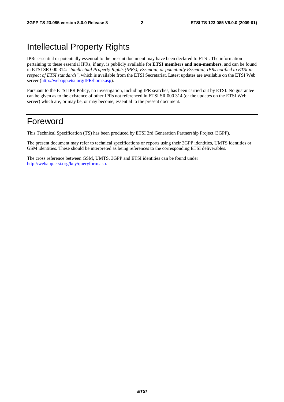### Intellectual Property Rights

IPRs essential or potentially essential to the present document may have been declared to ETSI. The information pertaining to these essential IPRs, if any, is publicly available for **ETSI members and non-members**, and can be found in ETSI SR 000 314: *"Intellectual Property Rights (IPRs); Essential, or potentially Essential, IPRs notified to ETSI in respect of ETSI standards"*, which is available from the ETSI Secretariat. Latest updates are available on the ETSI Web server (<http://webapp.etsi.org/IPR/home.asp>).

Pursuant to the ETSI IPR Policy, no investigation, including IPR searches, has been carried out by ETSI. No guarantee can be given as to the existence of other IPRs not referenced in ETSI SR 000 314 (or the updates on the ETSI Web server) which are, or may be, or may become, essential to the present document.

### Foreword

This Technical Specification (TS) has been produced by ETSI 3rd Generation Partnership Project (3GPP).

The present document may refer to technical specifications or reports using their 3GPP identities, UMTS identities or GSM identities. These should be interpreted as being references to the corresponding ETSI deliverables.

The cross reference between GSM, UMTS, 3GPP and ETSI identities can be found under <http://webapp.etsi.org/key/queryform.asp>.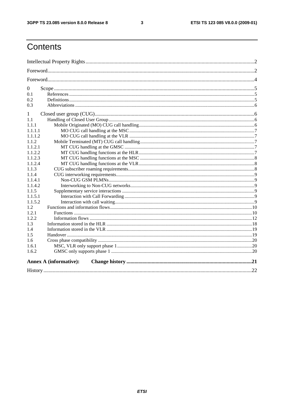$\mathbf{3}$ 

## Contents

| $\overline{0}$                |  |
|-------------------------------|--|
| 0.1                           |  |
| 0.2                           |  |
| 0.3                           |  |
| 1                             |  |
| 1.1                           |  |
| 1.1.1                         |  |
| 1.1.1.1                       |  |
| 1.1.1.2                       |  |
| 1.1.2                         |  |
| 1.1.2.1                       |  |
| 1.1.2.2                       |  |
| 1.1.2.3                       |  |
| 1.1.2.4                       |  |
| 1.1.3                         |  |
| 1.1.4                         |  |
| 1.1.4.1                       |  |
| 1.1.4.2                       |  |
| 1.1.5                         |  |
| 1.1.5.1                       |  |
| 1.1.5.2                       |  |
| 1.2                           |  |
| 1.2.1                         |  |
| 1.2.2                         |  |
| 1.3                           |  |
| 1.4                           |  |
| 1.5                           |  |
| 1.6                           |  |
| 1.6.1                         |  |
| 1.6.2                         |  |
| <b>Annex A (informative):</b> |  |
|                               |  |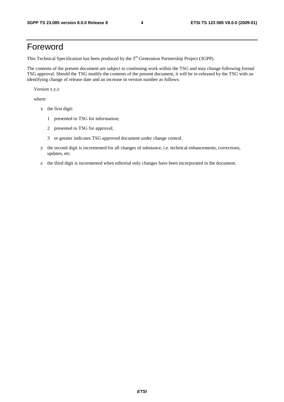### Foreword

This Technical Specification has been produced by the 3<sup>rd</sup> Generation Partnership Project (3GPP).

The contents of the present document are subject to continuing work within the TSG and may change following formal TSG approval. Should the TSG modify the contents of the present document, it will be re-released by the TSG with an identifying change of release date and an increase in version number as follows:

Version x.y.z

where:

- x the first digit:
	- 1 presented to TSG for information;
	- 2 presented to TSG for approval;
	- 3 or greater indicates TSG approved document under change control.
- y the second digit is incremented for all changes of substance, i.e. technical enhancements, corrections, updates, etc.
- z the third digit is incremented when editorial only changes have been incorporated in the document.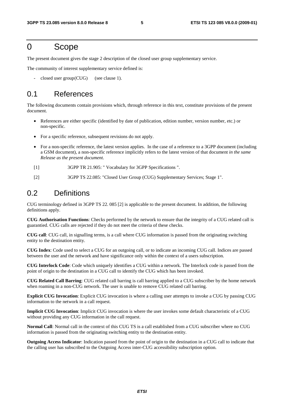### 0 Scope

The present document gives the stage 2 description of the closed user group supplementary service.

The community of interest supplementary service defined is:

 $closed user group (CUG)$  (see clause 1).

### 0.1 References

The following documents contain provisions which, through reference in this text, constitute provisions of the present document.

- References are either specific (identified by date of publication, edition number, version number, etc.) or non-specific.
- For a specific reference, subsequent revisions do not apply.
- For a non-specific reference, the latest version applies. In the case of a reference to a 3GPP document (including a GSM document), a non-specific reference implicitly refers to the latest version of that document *in the same Release as the present document*.
- [1] 3GPP TR 21.905: " Vocabulary for 3GPP Specifications ".
- [2] 3GPP TS 22.085: "Closed User Group (CUG) Supplementary Services; Stage 1".

### 0.2 Definitions

CUG terminology defined in 3GPP TS 22. 085 [2] is applicable to the present document. In addition, the following definitions apply.

**CUG Authorisation Functions**: Checks performed by the network to ensure that the integrity of a CUG related call is guarantied. CUG calls are rejected if they do not meet the criteria of these checks.

**CUG call**: CUG call, in signalling terms, is a call where CUG information is passed from the originating switching entity to the destination entity.

**CUG Index**: Code used to select a CUG for an outgoing call, or to indicate an incoming CUG call. Indices are passed between the user and the network and have significance only within the context of a users subscription.

**CUG Interlock Code**: Code which uniquely identifies a CUG within a network. The Interlock code is passed from the point of origin to the destination in a CUG call to identify the CUG which has been invoked.

**CUG Related Call Barring**: CUG related call barring is call barring applied to a CUG subscriber by the home network when roaming in a non-CUG network. The user is unable to remove CUG related call barring.

**Explicit CUG Invocation**: Explicit CUG invocation is where a calling user attempts to invoke a CUG by passing CUG information to the network in a call request.

**Implicit CUG Invocation**: Implicit CUG invocation is where the user invokes some default characteristic of a CUG without providing any CUG information in the call request.

**Normal Call**: Normal call in the context of this CUG TS is a call established from a CUG subscriber where no CUG information is passed from the originating switching entity to the destination entity.

**Outgoing Access Indicator**: Indication passed from the point of origin to the destination in a CUG call to indicate that the calling user has subscribed to the Outgoing Access inter-CUG accessibility subscription option.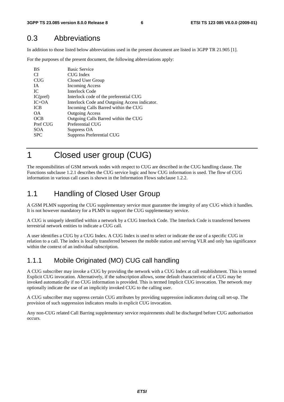### 0.3 Abbreviations

In addition to those listed below abbreviations used in the present document are listed in 3GPP TR 21.905 [1].

For the purposes of the present document, the following abbreviations apply:

| BS         | <b>Basic Service</b>                          |
|------------|-----------------------------------------------|
| CI.        | <b>CUG</b> Index                              |
| <b>CUG</b> | Closed User Group                             |
| <b>IA</b>  | <b>Incoming Access</b>                        |
| IC         | <b>Interlock Code</b>                         |
| IC(pref)   | Interlock code of the preferential CUG        |
| $IC+OA$    | Interlock Code and Outgoing Access indicator. |
| <b>ICB</b> | Incoming Calls Barred within the CUG          |
| OΑ.        | <b>Outgoing Access</b>                        |
| <b>OCB</b> | Outgoing Calls Barred within the CUG          |
| Pref CUG   | Preferential CUG                              |
| <b>SOA</b> | Suppress OA                                   |
| <b>SPC</b> | Suppress Preferential CUG                     |
|            |                                               |

1 Closed user group (CUG)

The responsibilities of GSM network nodes with respect to CUG are described in the CUG handling clause. The Functions subclause 1.2.1 describes the CUG service logic and how CUG information is used. The flow of CUG information in various call cases is shown in the Information Flows subclause 1.2.2.

### 1.1 Handling of Closed User Group

A GSM PLMN supporting the CUG supplementary service must guarantee the integrity of any CUG which it handles. It is not however mandatory for a PLMN to support the CUG supplementary service.

A CUG is uniquely identified within a network by a CUG Interlock Code. The Interlock Code is transferred between terrestrial network entities to indicate a CUG call.

A user identifies a CUG by a CUG Index. A CUG Index is used to select or indicate the use of a specific CUG in relation to a call. The index is locally transferred between the mobile station and serving VLR and only has significance within the context of an individual subscription.

### 1.1.1 Mobile Originated (MO) CUG call handling

A CUG subscriber may invoke a CUG by providing the network with a CUG Index at call establishment. This is termed Explicit CUG invocation. Alternatively, if the subscription allows, some default characteristic of a CUG may be invoked automatically if no CUG information is provided. This is termed Implicit CUG invocation. The network may optionally indicate the use of an implicitly invoked CUG to the calling user.

A CUG subscriber may suppress certain CUG attributes by providing suppression indicators during call set-up. The provision of such suppression indicators results in explicit CUG invocation.

Any non-CUG related Call Barring supplementary service requirements shall be discharged before CUG authorisation occurs.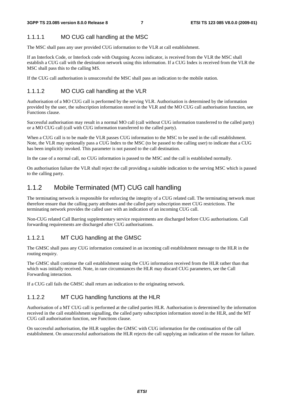### 1.1.1.1 MO CUG call handling at the MSC

The MSC shall pass any user provided CUG information to the VLR at call establishment.

If an Interlock Code, or Interlock code with Outgoing Access indicator, is received from the VLR the MSC shall establish a CUG call with the destination network using this information. If a CUG Index is received from the VLR the MSC shall pass this to the calling MS.

If the CUG call authorisation is unsuccessful the MSC shall pass an indication to the mobile station.

### 1.1.1.2 MO CUG call handling at the VLR

Authorisation of a MO CUG call is performed by the serving VLR. Authorisation is determined by the information provided by the user, the subscription information stored in the VLR and the MO CUG call authorisation function, see Functions clause.

Successful authorisation may result in a normal MO call (call without CUG information transferred to the called party) or a MO CUG call (call with CUG information transferred to the called party).

When a CUG call is to be made the VLR passes CUG information to the MSC to be used in the call establishment. Note, the VLR may optionally pass a CUG Index to the MSC (to be passed to the calling user) to indicate that a CUG has been implicitly invoked. This parameter is not passed to the call destination.

In the case of a normal call, no CUG information is passed to the MSC and the call is established normally.

On authorisation failure the VLR shall reject the call providing a suitable indication to the serving MSC which is passed to the calling party.

### 1.1.2 Mobile Terminated (MT) CUG call handling

The terminating network is responsible for enforcing the integrity of a CUG related call. The terminating network must therefore ensure that the calling party attributes and the called party subscription meet CUG restrictions. The terminating network provides the called user with an indication of an incoming CUG call.

Non-CUG related Call Barring supplementary service requirements are discharged before CUG authorisations. Call forwarding requirements are discharged after CUG authorisations.

#### 1.1.2.1 MT CUG handling at the GMSC

The GMSC shall pass any CUG information contained in an incoming call establishment message to the HLR in the routing enquiry.

The GMSC shall continue the call establishment using the CUG information received from the HLR rather than that which was initially received. Note, in rare circumstances the HLR may discard CUG parameters, see the Call Forwarding interaction.

If a CUG call fails the GMSC shall return an indication to the originating network.

#### 1.1.2.2 MT CUG handling functions at the HLR

Authorisation of a MT CUG call is performed at the called parties HLR. Authorisation is determined by the information received in the call establishment signalling, the called party subscription information stored in the HLR, and the MT CUG call authorisation function, see Functions clause.

On successful authorisation, the HLR supplies the GMSC with CUG information for the continuation of the call establishment. On unsuccessful authorisations the HLR rejects the call supplying an indication of the reason for failure.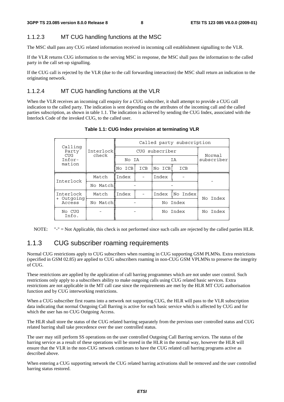#### 1.1.2.3 MT CUG handling functions at the MSC

The MSC shall pass any CUG related information received in incoming call establishment signalling to the VLR.

If the VLR returns CUG information to the serving MSC in response, the MSC shall pass the information to the called party in the call set-up signalling.

If the CUG call is rejected by the VLR (due to the call forwarding interaction) the MSC shall return an indication to the originating network.

#### 1.1.2.4 MT CUG handling functions at the VLR

When the VLR receives an incoming call enquiry for a CUG subscriber, it shall attempt to provide a CUG call indication to the called party. The indication is sent depending on the attributes of the incoming call and the called parties subscription, as shown in table 1.1. The indication is achieved by sending the CUG Index, associated with the Interlock Code of the invoked CUG, to the called user.

| Calling                          |  |                            | Called party subscription |     |                                                        |  |  |  |  |
|----------------------------------|--|----------------------------|---------------------------|-----|--------------------------------------------------------|--|--|--|--|
| Interlock<br>check               |  |                            |                           |     |                                                        |  |  |  |  |
|                                  |  |                            |                           |     | Normal<br>subscriber                                   |  |  |  |  |
|                                  |  | ICB                        |                           | ICB |                                                        |  |  |  |  |
| Match                            |  |                            | Index                     |     |                                                        |  |  |  |  |
| No Match                         |  |                            |                           |     |                                                        |  |  |  |  |
| Match                            |  |                            | Index                     |     | No Index                                               |  |  |  |  |
| + Outgoing<br>No Match<br>Access |  |                            |                           |     |                                                        |  |  |  |  |
|                                  |  |                            | No Index                  |     | No Index                                               |  |  |  |  |
|                                  |  | No ICB<br>l Index<br>Index | No IA                     |     | CUG subscriber<br>ΙA<br>No ICB<br>No Index<br>No Index |  |  |  |  |

#### **Table 1.1: CUG Index provision at terminating VLR**

NOTE: "-" = Not Applicable, this check is not performed since such calls are rejected by the called parties HLR.

#### 1.1.3 CUG subscriber roaming requirements

Normal CUG restrictions apply to CUG subscribers when roaming in CUG supporting GSM PLMNs. Extra restrictions (specified in GSM 02.85) are applied to CUG subscribers roaming in non-CUG GSM VPLMNs to preserve the integrity of CUG.

These restrictions are applied by the application of call barring programmes which are not under user control. Such restrictions only apply to a subscribers ability to make outgoing calls using CUG related basic services. Extra restrictions are not applicable in the MT call case since the requirements are met by the HLR MT CUG authorisation function and by CUG interworking restrictions.

When a CUG subscriber first roams into a network not supporting CUG, the HLR will pass to the VLR subscription data indicating that normal Outgoing Call Barring is active for each basic service which is affected by CUG and for which the user has no CUG Outgoing Access.

The HLR shall store the status of the CUG related barring separately from the previous user controlled status and CUG related barring shall take precedence over the user controlled status.

The user may still perform SS operations on the user controlled Outgoing Call Barring services. The status of the barring service as a result of these operations will be stored in the HLR in the normal way, however the HLR will ensure that the VLR in the non-CUG network continues to have the CUG related call barring programs active as described above.

When entering a CUG supporting network the CUG related barring activations shall be removed and the user controlled barring status restored.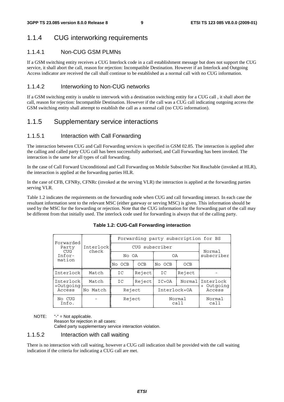### 1.1.4 CUG interworking requirements

#### 1.1.4.1 Non-CUG GSM PLMNs

If a GSM switching entity receives a CUG Interlock code in a call establishment message but does not support the CUG service, it shall abort the call, reason for rejection: Incompatible Destination. However if an Interlock and Outgoing Access indicator are received the call shall continue to be established as a normal call with no CUG information.

#### 1.1.4.2 Interworking to Non-CUG networks

If a GSM switching entity is unable to interwork with a destination switching entity for a CUG call , it shall abort the call, reason for rejection: Incompatible Destination. However if the call was a CUG call indicating outgoing access the GSM switching entity shall attempt to establish the call as a normal call (no CUG information).

#### 1.1.5 Supplementary service interactions

#### 1.1.5.1 Interaction with Call Forwarding

The interaction between CUG and Call Forwarding services is specified in GSM 02.85. The interaction is applied after the calling and called party CUG call has been successfully authorised, and Call Forwarding has been invoked. The interaction is the same for all types of call forwarding.

In the case of Call Forward Unconditional and Call Forwarding on Mobile Subscriber Not Reachable (invoked at HLR), the interaction is applied at the forwarding parties HLR.

In the case of CFB, CFNRy, CFNRc (invoked at the serving VLR) the interaction is applied at the forwarding parties serving VLR.

Table 1.2 indicates the requirements on the forwarding node when CUG and call forwarding interact. In each case the resultant information sent to the relevant MSC (either gateway or serving MSC) is given. This information should be used by the MSC for the forwarding or rejection. Note that the CUG information for the forwarding part of the call may be different from that initially used. The interlock code used for forwarding is always that of the calling party.

|           | Forwarding party subscription for BS |             |                |                |                       |  |  |  |
|-----------|--------------------------------------|-------------|----------------|----------------|-----------------------|--|--|--|
| Interlock |                                      | Normal      |                |                |                       |  |  |  |
|           |                                      | No OA<br>0A |                |                | subscriber            |  |  |  |
| mation    |                                      | <b>OCB</b>  | No OCB         | OCB            |                       |  |  |  |
| Match     | IC                                   | Reject      | IC             | Reject         |                       |  |  |  |
| Match     | IC                                   | Reject      | $IC+OA$        | Normal         | Interlock<br>Outgoing |  |  |  |
| No Match  | Reject                               |             | Interlock+OA   |                | Access                |  |  |  |
|           | Reject                               |             | Normal<br>call |                | Normal<br>call        |  |  |  |
|           | check                                | No OCB      |                | CUG subscriber |                       |  |  |  |

#### **Table 1.2: CUG-Call Forwarding interaction**

NOTE: "-" = Not applicable.

Reason for rejection in all cases: Called party supplementary service interaction violation.

#### 1.1.5.2 Interaction with call waiting

There is no interaction with call waiting, however a CUG call indication shall be provided with the call waiting indication if the criteria for indicating a CUG call are met.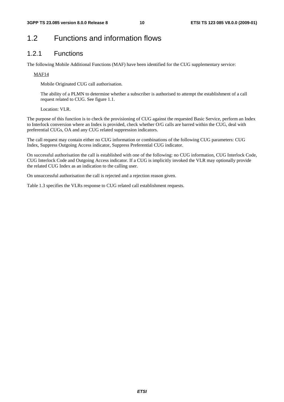### 1.2 Functions and information flows

#### 1.2.1 Functions

The following Mobile Additional Functions (MAF) have been identified for the CUG supplementary service:

#### MAF14

Mobile Originated CUG call authorisation.

 The ability of a PLMN to determine whether a subscriber is authorised to attempt the establishment of a call request related to CUG. See figure 1.1.

Location: VLR.

The purpose of this function is to check the provisioning of CUG against the requested Basic Service, perform an Index to Interlock conversion where an Index is provided, check whether O/G calls are barred within the CUG, deal with preferential CUGs, OA and any CUG related suppression indicators.

The call request may contain either no CUG information or combinations of the following CUG parameters: CUG Index, Suppress Outgoing Access indicator, Suppress Preferential CUG indicator.

On successful authorisation the call is established with one of the following: no CUG information, CUG Interlock Code, CUG Interlock Code and Outgoing Access indicator. If a CUG is implicitly invoked the VLR may optionally provide the related CUG Index as an indication to the calling user.

On unsuccessful authorisation the call is rejected and a rejection reason given.

Table 1.3 specifies the VLRs response to CUG related call establishment requests.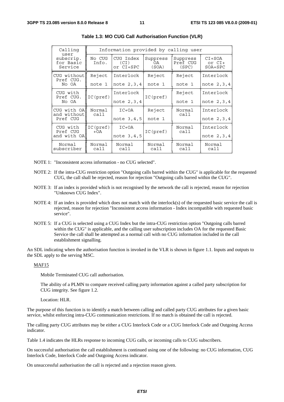| Calling<br>user                   | Information provided by calling user |                                                           |                |                               |                                 |  |  |  |
|-----------------------------------|--------------------------------------|-----------------------------------------------------------|----------------|-------------------------------|---------------------------------|--|--|--|
| subscrip.<br>for Basic<br>Service | No CUG<br>Info.                      | CUG Index<br>Suppress<br>(CI)<br>0A<br>or CI+SPC<br>(SOA) |                | Suppress<br>Pref CUG<br>(SPC) | $CI+SOA$<br>or CI+<br>$SOA+SPC$ |  |  |  |
| CUG without<br>Pref CUG.          | Reject                               | Interlock                                                 | Reject         | Reject                        | Interlock                       |  |  |  |
| No OA<br>note 1                   |                                      | note 2, 3, 4                                              | note 1         | note 1                        | note 2, 3, 4                    |  |  |  |
| CUG with<br>Pref CUG.             | IC(pref)                             | Interlock                                                 | IC(pref)       | Reject                        | Interlock                       |  |  |  |
| No OA                             |                                      | note 2, 3, 4                                              |                | note 1                        | note 2, 3, 4                    |  |  |  |
| CUG with OAN<br>and without       | Normal<br>call                       | $IC+OA$                                                   | Reject         | Normal<br>call                | Interlock                       |  |  |  |
| Pref CUG                          |                                      | note 3,4,5                                                | note 1         |                               | note 2, 3, 4                    |  |  |  |
| CUG with                          | IC(pref)<br>Pref CUG<br>$+OA$        |                                                           | IC(pref)       | Normal<br>call                | Interlock                       |  |  |  |
| and with OA                       |                                      |                                                           |                |                               | note 2, 3, 4                    |  |  |  |
| Normal<br>subscriber              | Normal<br>Normal<br>call<br>call     |                                                           | Normal<br>call | Normal<br>call                | Normal<br>call                  |  |  |  |

| Table 1.3: MO CUG Call Authorisation Function (VLR) |  |  |  |
|-----------------------------------------------------|--|--|--|
|-----------------------------------------------------|--|--|--|

NOTE 1: "Inconsistent access information - no CUG selected".

- NOTE 2: If the intra-CUG restriction option "Outgoing calls barred within the CUG" is applicable for the requested CUG, the call shall be rejected, reason for rejection "Outgoing calls barred within the CUG".
- NOTE 3: If an index is provided which is not recognised by the network the call is rejected, reason for rejection "Unknown CUG Index".
- NOTE 4: If an index is provided which does not match with the interlock(s) of the requested basic service the call is rejected, reason for rejection "Inconsistent access information - Index incompatible with requested basic service".
- NOTE 5: If a CUG is selected using a CUG Index but the intra-CUG restriction option "Outgoing calls barred within the CUG" is applicable, and the calling user subscription includes OA for the requested Basic Service the call shall be attempted as a normal call with no CUG information included in the call establishment signalling.

An SDL indicating when the authorisation function is invoked in the VLR is shown in figure 1.1. Inputs and outputs to the SDL apply to the serving MSC.

#### MAF15

Mobile Terminated CUG call authorisation.

 The ability of a PLMN to compare received calling party information against a called party subscription for CUG integrity. See figure 1.2.

Location: HLR.

The purpose of this function is to identify a match between calling and called party CUG attributes for a given basic service, whilst enforcing intra-CUG communication restrictions. If no match is obtained the call is rejected.

The calling party CUG attributes may be either a CUG Interlock Code or a CUG Interlock Code and Outgoing Access indicator.

Table 1.4 indicates the HLRs response to incoming CUG calls, or incoming calls to CUG subscribers.

On successful authorisation the call establishment is continued using one of the following: no CUG information, CUG Interlock Code, Interlock Code and Outgoing Access indicator.

On unsuccessful authorisation the call is rejected and a rejection reason given.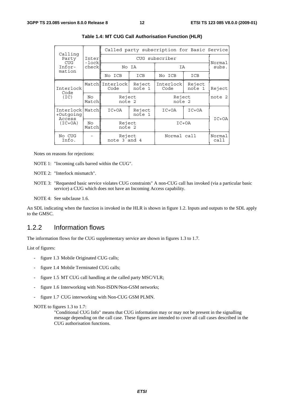| Calling                          |                |                         |                  | Called party subscription for Basic Service |                  |                 |         |  |  |
|----------------------------------|----------------|-------------------------|------------------|---------------------------------------------|------------------|-----------------|---------|--|--|
| Party<br><b>CUG</b>              | Inter<br>-lock |                         | CUG subscriber   |                                             |                  |                 |         |  |  |
| Infor-<br>mation                 | check          |                         | No IA            | IA                                          |                  | Normal<br>subs. |         |  |  |
|                                  |                | No ICB                  | ICB              | No ICB                                      | ICB              |                 |         |  |  |
| Interlock<br>Code                |                | MatchlInterlock<br>Code | Reject<br>note 1 | Interlock<br>Code                           | Reject<br>note 1 | Reject          |         |  |  |
| (TC)                             | No<br>Match    | Reject<br>note 2        |                  | Reject<br>note 2                            |                  | note 2          |         |  |  |
| Interlock<br>+Outgoing<br>Access | Match          | $IC+OA$                 | Reject<br>note 1 |                                             | $IC+OA$          | $IC+OA$         |         |  |  |
| $(IC+OA)$                        | No<br>Match    | Reject<br>note 2        |                  |                                             |                  |                 | $IC+OA$ |  |  |
| No CUG<br>Info.                  |                | Reject<br>note 3 and 4  |                  | Normal call                                 |                  | Normal<br>call  |         |  |  |

#### **Table 1.4: MT CUG Call Authorisation Function (HLR)**

Notes on reasons for rejections:

NOTE 1: "Incoming calls barred within the CUG".

NOTE 2: "Interlock mismatch".

NOTE 3: "Requested basic service violates CUG constraints" A non-CUG call has invoked (via a particular basic service) a CUG which does not have an Incoming Access capability.

NOTE 4: See subclause 1.6.

An SDL indicating when the function is invoked in the HLR is shown in figure 1.2. Inputs and outputs to the SDL apply to the GMSC.

#### 1.2.2 Information flows

The information flows for the CUG supplementary service are shown in figures 1.3 to 1.7.

List of figures:

- figure 1.3 Mobile Originated CUG calls;
- figure 1.4 Mobile Terminated CUG calls;
- figure 1.5 MT CUG call handling at the called party MSC/VLR;
- figure 1.6 Interworking with Non-ISDN/Non-GSM networks;
- figure 1.7 CUG interworking with Non-CUG GSM PLMN.

NOTE to figures 1.3 to 1.7:

"Conditional CUG Info" means that CUG information may or may not be present in the signalling message depending on the call case. These figures are intended to cover all call cases described in the CUG authorisation functions.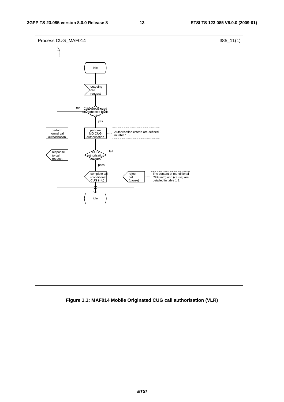

**Figure 1.1: MAF014 Mobile Originated CUG call authorisation (VLR)**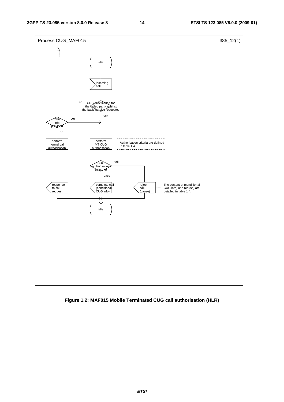

**Figure 1.2: MAF015 Mobile Terminated CUG call authorisation (HLR)**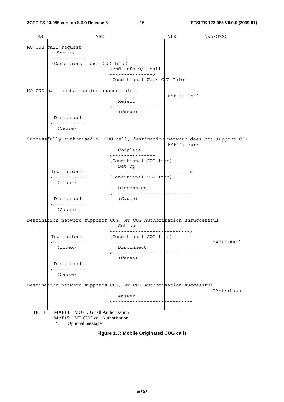| ΜS    |                                                            | MSC |                                                                     | VLR | NWb-GMSC                                                                                     |
|-------|------------------------------------------------------------|-----|---------------------------------------------------------------------|-----|----------------------------------------------------------------------------------------------|
|       |                                                            |     |                                                                     |     |                                                                                              |
|       | MO CUG call request<br>Set-up                              |     |                                                                     |     |                                                                                              |
|       | ----------->                                               |     |                                                                     |     |                                                                                              |
|       | (Conditional User CUG Info)                                |     |                                                                     |     |                                                                                              |
|       |                                                            |     | Send info O/G call<br>--------------->                              |     |                                                                                              |
|       |                                                            |     | (Conditional User CUG Info)                                         |     |                                                                                              |
|       |                                                            |     |                                                                     |     |                                                                                              |
|       | MO CUG call authorisation unsuccessful                     |     |                                                                     |     | MAF14: Fail                                                                                  |
|       |                                                            |     | Reject                                                              |     |                                                                                              |
|       |                                                            |     | ---------------                                                     |     |                                                                                              |
|       |                                                            |     | (Cause)                                                             |     |                                                                                              |
|       | Disconnect<br>------------                                 |     |                                                                     |     |                                                                                              |
|       | (Cause)                                                    |     |                                                                     |     |                                                                                              |
|       |                                                            |     |                                                                     |     |                                                                                              |
|       |                                                            |     |                                                                     |     | Successfully authorised MO CUG call, destination network does not support CUG<br>MAF14: Pass |
|       |                                                            |     | Complete                                                            |     |                                                                                              |
|       |                                                            |     | ---------------                                                     |     |                                                                                              |
|       |                                                            |     | (Conditional CUG Info)                                              |     |                                                                                              |
|       | Indication*                                                |     | Set-up                                                              |     | - – – – – –                                                                                  |
|       | -----------                                                |     | (Conditional CUG Info)                                              |     |                                                                                              |
|       | (Index)                                                    |     |                                                                     |     |                                                                                              |
|       |                                                            |     | Disconnect                                                          |     |                                                                                              |
|       | Disconnect                                                 |     | (Cause)                                                             |     |                                                                                              |
|       | ------------                                               |     |                                                                     |     |                                                                                              |
|       | (Cause)                                                    |     |                                                                     |     |                                                                                              |
|       |                                                            |     | Destination network supports CUG, MT CUG Authorisation unsuccessful |     |                                                                                              |
|       |                                                            |     | Set-up                                                              |     |                                                                                              |
|       |                                                            |     |                                                                     |     | - - - - - - >                                                                                |
|       | Indication*                                                |     | (Conditional CUG Info)                                              |     |                                                                                              |
|       | $- - - - - - - - - - -$<br>(Index)                         |     | Disconnect                                                          |     | MAF15:Fail                                                                                   |
|       |                                                            |     | ------------------                                                  |     |                                                                                              |
|       |                                                            |     | (Cause)                                                             |     |                                                                                              |
|       | Disconnect<br>------------                                 |     |                                                                     |     |                                                                                              |
|       | (Cause)                                                    |     |                                                                     |     |                                                                                              |
|       |                                                            |     |                                                                     |     |                                                                                              |
|       |                                                            |     | Destination network supports CUG, MT CUG Authorisation successful   |     |                                                                                              |
|       |                                                            |     | Answer                                                              |     | MAF <sub>15</sub> : Pass                                                                     |
|       |                                                            |     |                                                                     |     |                                                                                              |
|       |                                                            |     |                                                                     |     |                                                                                              |
| NOTE: | MAF14: MO CUG call Authorisation                           |     |                                                                     |     |                                                                                              |
|       | MAF15: MT CUG call Authorisation<br>Optional message<br>∗: |     |                                                                     |     |                                                                                              |
|       |                                                            |     |                                                                     |     |                                                                                              |

**Figure 1.3: Mobile Originated CUG calls**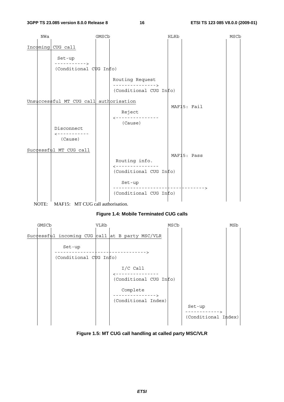



#### **Figure 1.4: Mobile Terminated CUG calls**



**Figure 1.5: MT CUG call handling at called party MSC/VLR**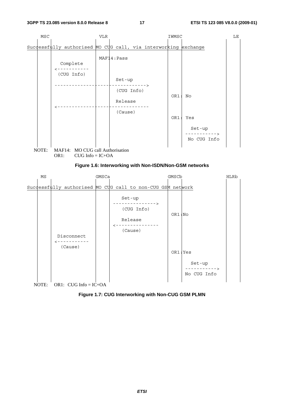

NOTE: OR1: CUG Info =  $IC+OA$ 

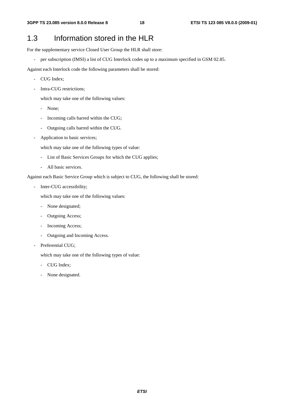### 1.3 Information stored in the HLR

For the supplementary service Closed User Group the HLR shall store:

- per subscription (IMSI) a list of CUG Interlock codes up to a maximum specified in GSM 02.85.

Against each Interlock code the following parameters shall be stored:

- CUG Index;
- Intra-CUG restrictions:

which may take one of the following values:

- None;
- Incoming calls barred within the CUG;
- Outgoing calls barred within the CUG.
- Application to basic services;

which may take one of the following types of value:

- List of Basic Services Groups for which the CUG applies;
- All basic services.

Against each Basic Service Group which is subject to CUG, the following shall be stored:

Inter-CUG accessibility;

which may take one of the following values:

- None designated;
- Outgoing Access;
- Incoming Access;
- Outgoing and Incoming Access.
- Preferential CUG;

which may take one of the following types of value:

- CUG Index;
- None designated.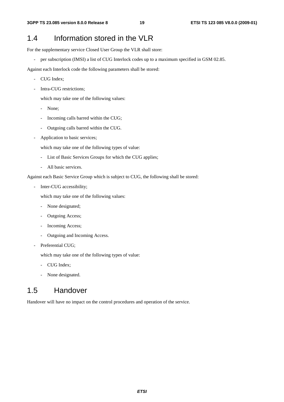### 1.4 Information stored in the VLR

For the supplementary service Closed User Group the VLR shall store:

- per subscription (IMSI) a list of CUG Interlock codes up to a maximum specified in GSM 02.85.

Against each Interlock code the following parameters shall be stored:

- CUG Index;
- Intra-CUG restrictions:

which may take one of the following values:

- None;
- Incoming calls barred within the CUG;
- Outgoing calls barred within the CUG.
- Application to basic services;

which may take one of the following types of value:

- List of Basic Services Groups for which the CUG applies;
- All basic services.

Against each Basic Service Group which is subject to CUG, the following shall be stored:

Inter-CUG accessibility;

which may take one of the following values:

- None designated;
- Outgoing Access;
- Incoming Access;
- Outgoing and Incoming Access.
- Preferential CUG;

which may take one of the following types of value:

- CUG Index;
- None designated.

### 1.5 Handover

Handover will have no impact on the control procedures and operation of the service.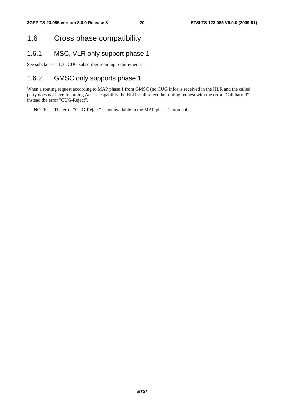### 1.6 Cross phase compatibility

### 1.6.1 MSC, VLR only support phase 1

See subclause 1.1.3 "CUG subscriber roaming requirements".

### 1.6.2 GMSC only supports phase 1

When a routing request according to MAP phase 1 from GMSC (no CUG info) is received in the HLR and the called party does not have Incoming Access capability the HLR shall reject the routing request with the error "Call barred" instead the error "CUG-Reject".

NOTE: The error "CUG-Reject" is not available in the MAP phase 1 protocol.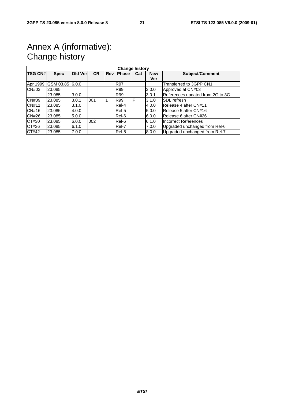### Annex A (informative): Change history

| <b>Change history</b> |                 |         |           |            |              |     |            |                                  |  |
|-----------------------|-----------------|---------|-----------|------------|--------------|-----|------------|----------------------------------|--|
| <b>TSG CN#</b>        | <b>Spec</b>     | Old Ver | <b>CR</b> | <b>Rev</b> | <b>Phase</b> | Cat | <b>New</b> | <b>Subject/Comment</b>           |  |
|                       |                 |         |           |            |              |     | Ver        |                                  |  |
| Apr 1999              | GSM 03.85 6.0.0 |         |           |            | <b>R97</b>   |     |            | Transferred to 3GPP CN1          |  |
| <b>CN#03</b>          | 23.085          |         |           |            | <b>R99</b>   |     | 3.0.0      | Approved at CN#03                |  |
|                       | 23.085          | 3.0.0   |           |            | R99          |     | 3.0.1      | References updated from 2G to 3G |  |
| <b>CN#09</b>          | 23.085          | 3.0.1   | 1001      |            | R99          | F   | 3.1.0      | <b>ISDL</b> refresh              |  |
| CN#11                 | 23.085          | 3.1.0   |           |            | Rel-4        |     | 4.0.0      | Release 4 after CN#11            |  |
| CN#16                 | 23.085          | 4.0.0   |           |            | Rel-5        |     | 5.0.0      | Release 5 after CN#16            |  |
| <b>CN#26</b>          | 23.085          | 5.0.0   |           |            | Rel-6        |     | 6.0.0      | Release 6 after CN#26            |  |
| CT#30                 | 23.085          | 6.0.0   | 002       |            | Rel-6        |     | 6.1.0      | Incorrect References             |  |
| CT#36                 | 23.085          | 6.1.0   |           |            | Rel-7        |     | 7.0.0      | Upgraded unchanged from Rel-6    |  |
| CT#42                 | 23.085          | 7.0.0   |           |            | Rel-8        |     | 8.0.0      | Upgraded unchanged from Rel-7    |  |